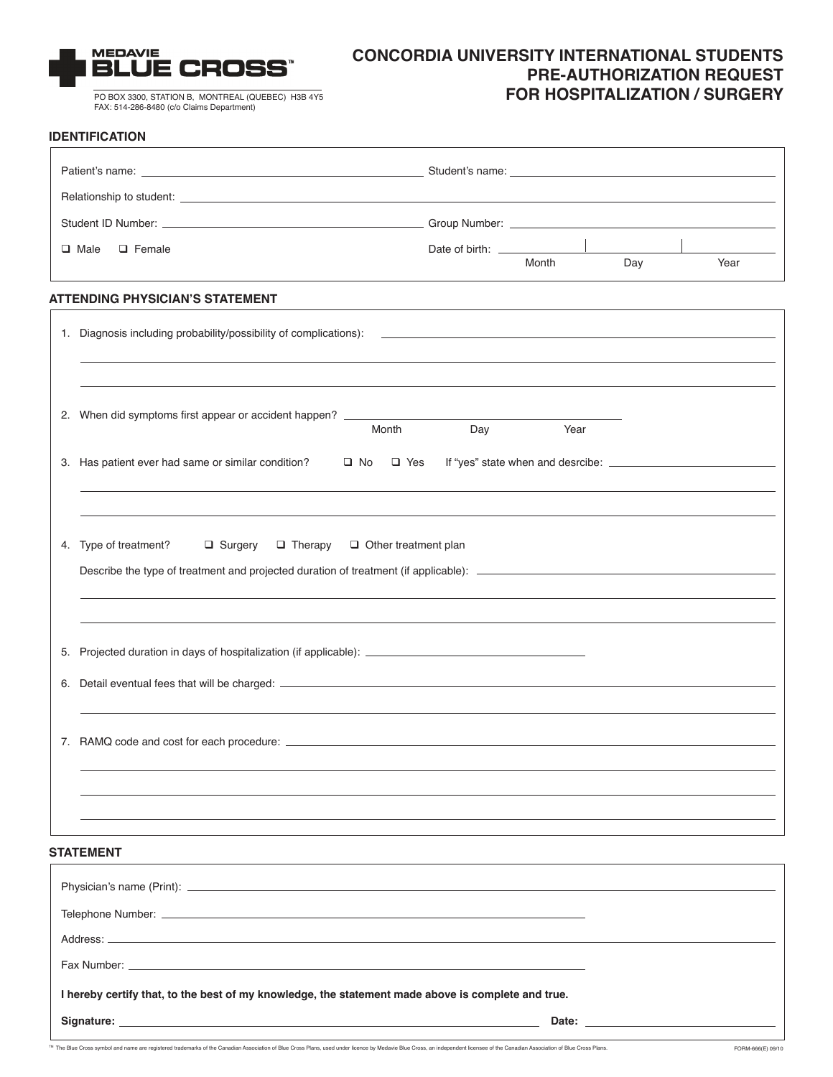

PO BOX 3300, STATION B, MONTREAL (QUEBEC) H3B 4Y5 FAX: 514-286-8480 (c/o Claims Department)

# **CONCORDIA UNIVERSITY INTERNATIONAL STUDENTS PRE-AUTHORIZATION REQUEST FOR HOSPITALIZATION / SURGERY**

### **IDENTIFICATION**

| Patient's name: <u>the second second second second second second second second second second second second second second second second second second second second second second second second second second second second secon</u> |                                                                                                                                                                                                                               |     |                                                                                                                                                                                                                                |     |  |                   |
|--------------------------------------------------------------------------------------------------------------------------------------------------------------------------------------------------------------------------------------|-------------------------------------------------------------------------------------------------------------------------------------------------------------------------------------------------------------------------------|-----|--------------------------------------------------------------------------------------------------------------------------------------------------------------------------------------------------------------------------------|-----|--|-------------------|
|                                                                                                                                                                                                                                      |                                                                                                                                                                                                                               |     |                                                                                                                                                                                                                                |     |  |                   |
|                                                                                                                                                                                                                                      |                                                                                                                                                                                                                               |     |                                                                                                                                                                                                                                |     |  |                   |
|                                                                                                                                                                                                                                      | $\Box$ Female<br>$\Box$ Male                                                                                                                                                                                                  |     | Month                                                                                                                                                                                                                          | Day |  | Year              |
|                                                                                                                                                                                                                                      | <b>ATTENDING PHYSICIAN'S STATEMENT</b>                                                                                                                                                                                        |     |                                                                                                                                                                                                                                |     |  |                   |
|                                                                                                                                                                                                                                      |                                                                                                                                                                                                                               |     |                                                                                                                                                                                                                                |     |  |                   |
|                                                                                                                                                                                                                                      | 2. When did symptoms first appear or accident happen? __________________________<br>Month                                                                                                                                     | Day | Year                                                                                                                                                                                                                           |     |  |                   |
|                                                                                                                                                                                                                                      | 3. Has patient ever had same or similar condition?<br>$\Box$ No $\Box$ Yes                                                                                                                                                    |     |                                                                                                                                                                                                                                |     |  |                   |
|                                                                                                                                                                                                                                      | 4. Type of treatment?<br>$\Box$ Surgery $\Box$ Therapy $\Box$ Other treatment plan                                                                                                                                            |     |                                                                                                                                                                                                                                |     |  |                   |
|                                                                                                                                                                                                                                      | 5. Projected duration in days of hospitalization (if applicable): __________________________________                                                                                                                          |     |                                                                                                                                                                                                                                |     |  |                   |
|                                                                                                                                                                                                                                      |                                                                                                                                                                                                                               |     |                                                                                                                                                                                                                                |     |  |                   |
|                                                                                                                                                                                                                                      |                                                                                                                                                                                                                               |     |                                                                                                                                                                                                                                |     |  |                   |
|                                                                                                                                                                                                                                      | <b>STATEMENT</b>                                                                                                                                                                                                              |     |                                                                                                                                                                                                                                |     |  |                   |
|                                                                                                                                                                                                                                      |                                                                                                                                                                                                                               |     |                                                                                                                                                                                                                                |     |  |                   |
|                                                                                                                                                                                                                                      |                                                                                                                                                                                                                               |     |                                                                                                                                                                                                                                |     |  |                   |
|                                                                                                                                                                                                                                      |                                                                                                                                                                                                                               |     |                                                                                                                                                                                                                                |     |  |                   |
|                                                                                                                                                                                                                                      |                                                                                                                                                                                                                               |     |                                                                                                                                                                                                                                |     |  |                   |
|                                                                                                                                                                                                                                      | I hereby certify that, to the best of my knowledge, the statement made above is complete and true.                                                                                                                            |     |                                                                                                                                                                                                                                |     |  |                   |
|                                                                                                                                                                                                                                      |                                                                                                                                                                                                                               |     | Date: the contract of the contract of the contract of the contract of the contract of the contract of the contract of the contract of the contract of the contract of the contract of the contract of the contract of the cont |     |  |                   |
|                                                                                                                                                                                                                                      | ™ The Blue Cross symbol and name are registered trademarks of the Canadian Association of Blue Cross Plans, used under licence by Medavie Blue Cross, an independent licensee of the Canadian Association of Blue Cross Plans |     |                                                                                                                                                                                                                                |     |  | FORM-666(E) 09/10 |